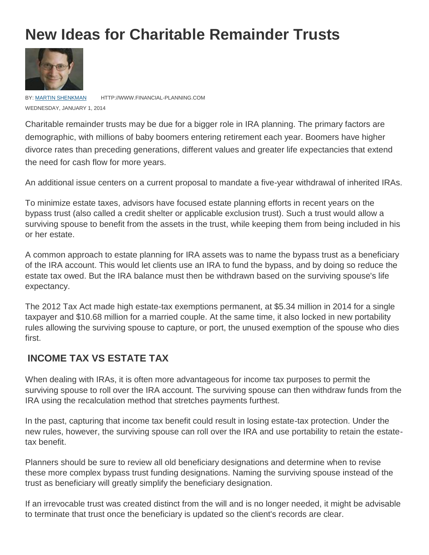# **New Ideas for Charitable Remainder Trusts**



BY: [MARTIN SHENKMAN](http://www.financial-planning.com/article_listings/martin-shenkman-185.html) HTTP://WWW.FINANCIAL-PLANNING.COM WEDNESDAY, JANUARY 1, 2014

Charitable remainder trusts may be due for a bigger role in IRA planning. The primary factors are demographic, with millions of baby boomers entering retirement each year. Boomers have higher divorce rates than preceding generations, different values and greater life expectancies that extend the need for cash flow for more years.

An additional issue centers on a current proposal to mandate a five-year withdrawal of inherited IRAs.

To minimize estate taxes, advisors have focused estate planning efforts in recent years on the bypass trust (also called a credit shelter or applicable exclusion trust). Such a trust would allow a surviving spouse to benefit from the assets in the trust, while keeping them from being included in his or her estate.

A common approach to estate planning for IRA assets was to name the bypass trust as a beneficiary of the IRA account. This would let clients use an IRA to fund the bypass, and by doing so reduce the estate tax owed. But the IRA balance must then be withdrawn based on the surviving spouse's life expectancy.

The 2012 Tax Act made high estate-tax exemptions permanent, at \$5.34 million in 2014 for a single taxpayer and \$10.68 million for a married couple. At the same time, it also locked in new portability rules allowing the surviving spouse to capture, or port, the unused exemption of the spouse who dies first.

#### **INCOME TAX VS ESTATE TAX**

When dealing with IRAs, it is often more advantageous for income tax purposes to permit the surviving spouse to roll over the IRA account. The surviving spouse can then withdraw funds from the IRA using the recalculation method that stretches payments furthest.

In the past, capturing that income tax benefit could result in losing estate-tax protection. Under the new rules, however, the surviving spouse can roll over the IRA and use portability to retain the estatetax benefit.

Planners should be sure to review all old beneficiary designations and determine when to revise these more complex bypass trust funding designations. Naming the surviving spouse instead of the trust as beneficiary will greatly simplify the beneficiary designation.

If an irrevocable trust was created distinct from the will and is no longer needed, it might be advisable to terminate that trust once the beneficiary is updated so the client's records are clear.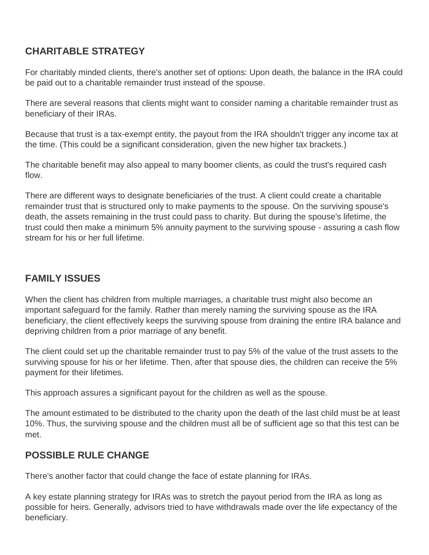## **CHARITABLE STRATEGY**

For charitably minded clients, there's another set of options: Upon death, the balance in the IRA could be paid out to a charitable remainder trust instead of the spouse.

There are several reasons that clients might want to consider naming a charitable remainder trust as beneficiary of their IRAs.

Because that trust is a tax-exempt entity, the payout from the IRA shouldn't trigger any income tax at the time. (This could be a significant consideration, given the new higher tax brackets.)

The charitable benefit may also appeal to many boomer clients, as could the trust's required cash flow.

There are different ways to designate beneficiaries of the trust. A client could create a charitable remainder trust that is structured only to make payments to the spouse. On the surviving spouse's death, the assets remaining in the trust could pass to charity. But during the spouse's lifetime, the trust could then make a minimum 5% annuity payment to the surviving spouse - assuring a cash flow stream for his or her full lifetime.

### **FAMILY ISSUES**

When the client has children from multiple marriages, a charitable trust might also become an important safeguard for the family. Rather than merely naming the surviving spouse as the IRA beneficiary, the client effectively keeps the surviving spouse from draining the entire IRA balance and depriving children from a prior marriage of any benefit.

The client could set up the charitable remainder trust to pay 5% of the value of the trust assets to the surviving spouse for his or her lifetime. Then, after that spouse dies, the children can receive the 5% payment for their lifetimes.

This approach assures a significant payout for the children as well as the spouse.

The amount estimated to be distributed to the charity upon the death of the last child must be at least 10%. Thus, the surviving spouse and the children must all be of sufficient age so that this test can be met.

#### **POSSIBLE RULE CHANGE**

There's another factor that could change the face of estate planning for IRAs.

A key estate planning strategy for IRAs was to stretch the payout period from the IRA as long as possible for heirs. Generally, advisors tried to have withdrawals made over the life expectancy of the beneficiary.